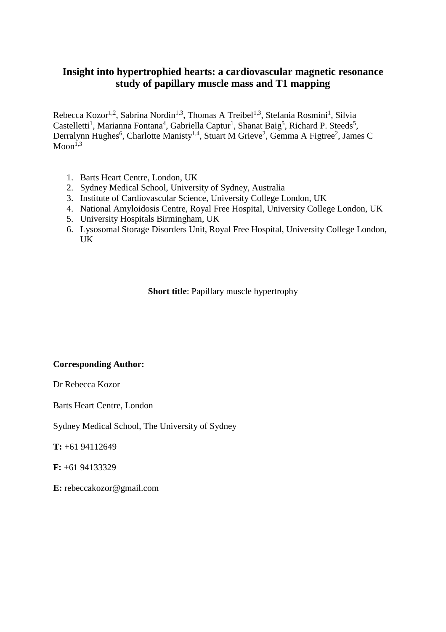## **Insight into hypertrophied hearts: a cardiovascular magnetic resonance study of papillary muscle mass and T1 mapping**

Rebecca Kozor<sup>1,2</sup>, Sabrina Nordin<sup>1,3</sup>, Thomas A Treibel<sup>1,3</sup>, Stefania Rosmini<sup>1</sup>, Silvia Castelletti<sup>1</sup>, Marianna Fontana<sup>4</sup>, Gabriella Captur<sup>1</sup>, Shanat Baig<sup>5</sup>, Richard P. Steeds<sup>5</sup>, Derralynn Hughes<sup>6</sup>, Charlotte Manisty<sup>1,4</sup>, Stuart M Grieve<sup>2</sup>, Gemma A Figtree<sup>2</sup>, James C  $Mon<sup>1,3</sup>$ 

- 1. Barts Heart Centre, London, UK
- 2. Sydney Medical School, University of Sydney, Australia
- 3. Institute of Cardiovascular Science, University College London, UK
- 4. National Amyloidosis Centre, Royal Free Hospital, University College London, UK
- 5. University Hospitals Birmingham, UK
- 6. Lysosomal Storage Disorders Unit, Royal Free Hospital, University College London, UK

**Short title**: Papillary muscle hypertrophy

### **Corresponding Author:**

Dr Rebecca Kozor

Barts Heart Centre, London

Sydney Medical School, The University of Sydney

**T:** +61 94112649

**F:** +61 94133329

**E:** rebeccakozor@gmail.com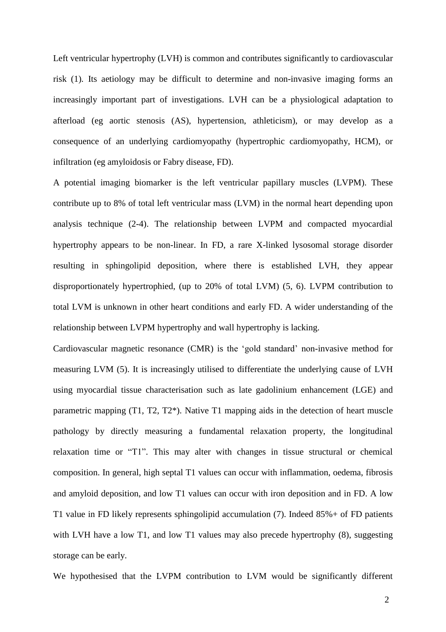Left ventricular hypertrophy (LVH) is common and contributes significantly to cardiovascular risk (1). Its aetiology may be difficult to determine and non-invasive imaging forms an increasingly important part of investigations. LVH can be a physiological adaptation to afterload (eg aortic stenosis (AS), hypertension, athleticism), or may develop as a consequence of an underlying cardiomyopathy (hypertrophic cardiomyopathy, HCM), or infiltration (eg amyloidosis or Fabry disease, FD).

A potential imaging biomarker is the left ventricular papillary muscles (LVPM). These contribute up to 8% of total left ventricular mass (LVM) in the normal heart depending upon analysis technique (2-4). The relationship between LVPM and compacted myocardial hypertrophy appears to be non-linear. In FD, a rare X-linked lysosomal storage disorder resulting in sphingolipid deposition, where there is established LVH, they appear disproportionately hypertrophied, (up to 20% of total LVM) (5, 6). LVPM contribution to total LVM is unknown in other heart conditions and early FD. A wider understanding of the relationship between LVPM hypertrophy and wall hypertrophy is lacking.

Cardiovascular magnetic resonance (CMR) is the 'gold standard' non-invasive method for measuring LVM (5). It is increasingly utilised to differentiate the underlying cause of LVH using myocardial tissue characterisation such as late gadolinium enhancement (LGE) and parametric mapping (T1, T2, T2\*). Native T1 mapping aids in the detection of heart muscle pathology by directly measuring a fundamental relaxation property, the longitudinal relaxation time or "T1". This may alter with changes in tissue structural or chemical composition. In general, high septal T1 values can occur with inflammation, oedema, fibrosis and amyloid deposition, and low T1 values can occur with iron deposition and in FD. A low T1 value in FD likely represents sphingolipid accumulation (7). Indeed 85%+ of FD patients with LVH have a low T1, and low T1 values may also precede hypertrophy  $(8)$ , suggesting storage can be early.

We hypothesised that the LVPM contribution to LVM would be significantly different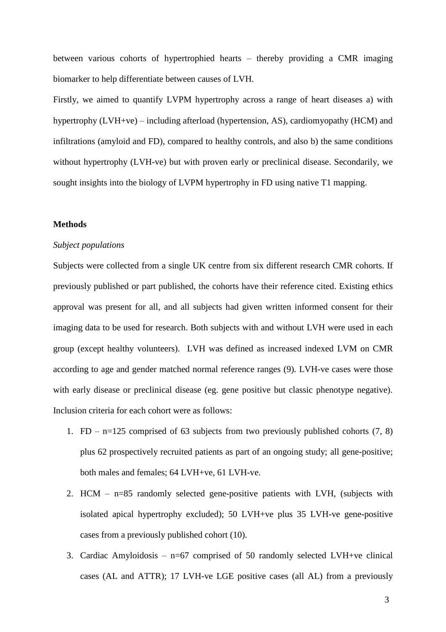between various cohorts of hypertrophied hearts – thereby providing a CMR imaging biomarker to help differentiate between causes of LVH.

Firstly, we aimed to quantify LVPM hypertrophy across a range of heart diseases a) with hypertrophy (LVH+ve) – including afterload (hypertension, AS), cardiomyopathy (HCM) and infiltrations (amyloid and FD), compared to healthy controls, and also b) the same conditions without hypertrophy (LVH-ve) but with proven early or preclinical disease. Secondarily, we sought insights into the biology of LVPM hypertrophy in FD using native T1 mapping.

#### **Methods**

#### *Subject populations*

Subjects were collected from a single UK centre from six different research CMR cohorts. If previously published or part published, the cohorts have their reference cited. Existing ethics approval was present for all, and all subjects had given written informed consent for their imaging data to be used for research. Both subjects with and without LVH were used in each group (except healthy volunteers). LVH was defined as increased indexed LVM on CMR according to age and gender matched normal reference ranges (9). LVH-ve cases were those with early disease or preclinical disease (eg. gene positive but classic phenotype negative). Inclusion criteria for each cohort were as follows:

- 1. FD n=125 comprised of 63 subjects from two previously published cohorts  $(7, 8)$ plus 62 prospectively recruited patients as part of an ongoing study; all gene-positive; both males and females; 64 LVH+ve, 61 LVH-ve.
- 2. HCM n=85 randomly selected gene-positive patients with LVH, (subjects with isolated apical hypertrophy excluded); 50 LVH+ve plus 35 LVH-ve gene-positive cases from a previously published cohort (10).
- 3. Cardiac Amyloidosis  $n=67$  comprised of 50 randomly selected LVH+ve clinical cases (AL and ATTR); 17 LVH-ve LGE positive cases (all AL) from a previously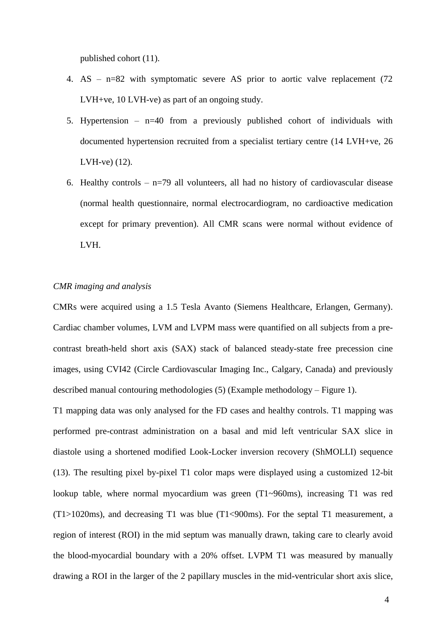published cohort (11).

- 4. AS n=82 with symptomatic severe AS prior to aortic valve replacement (72 LVH+ve, 10 LVH-ve) as part of an ongoing study.
- 5. Hypertension  $n=40$  from a previously published cohort of individuals with documented hypertension recruited from a specialist tertiary centre (14 LVH+ve, 26 LVH-ve) (12).
- 6. Healthy controls  $-$  n=79 all volunteers, all had no history of cardiovascular disease (normal health questionnaire, normal electrocardiogram, no cardioactive medication except for primary prevention). All CMR scans were normal without evidence of LVH.

#### *CMR imaging and analysis*

CMRs were acquired using a 1.5 Tesla Avanto (Siemens Healthcare, Erlangen, Germany). Cardiac chamber volumes, LVM and LVPM mass were quantified on all subjects from a precontrast breath-held short axis (SAX) stack of balanced steady-state free precession cine images, using CVI42 (Circle Cardiovascular Imaging Inc., Calgary, Canada) and previously described manual contouring methodologies (5) (Example methodology – Figure 1).

T1 mapping data was only analysed for the FD cases and healthy controls. T1 mapping was performed pre-contrast administration on a basal and mid left ventricular SAX slice in diastole using a shortened modified Look-Locker inversion recovery (ShMOLLI) sequence (13). The resulting pixel by-pixel T1 color maps were displayed using a customized 12-bit lookup table, where normal myocardium was green (T1~960ms), increasing T1 was red (T1>1020ms), and decreasing T1 was blue (T1<900ms). For the septal T1 measurement, a region of interest (ROI) in the mid septum was manually drawn, taking care to clearly avoid the blood-myocardial boundary with a 20% offset. LVPM T1 was measured by manually drawing a ROI in the larger of the 2 papillary muscles in the mid-ventricular short axis slice,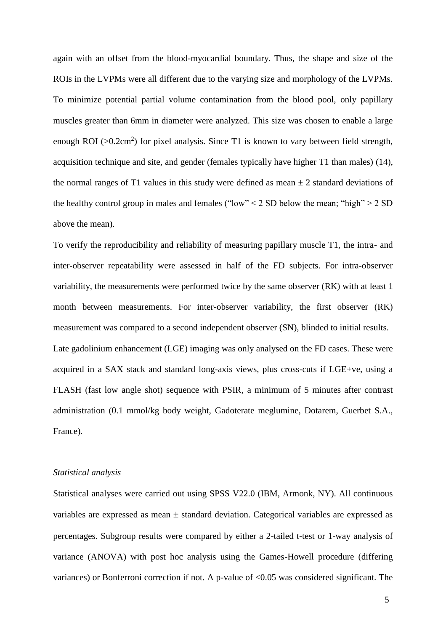again with an offset from the blood-myocardial boundary. Thus, the shape and size of the ROIs in the LVPMs were all different due to the varying size and morphology of the LVPMs. To minimize potential partial volume contamination from the blood pool, only papillary muscles greater than 6mm in diameter were analyzed. This size was chosen to enable a large enough ROI ( $>0.2$ cm<sup>2</sup>) for pixel analysis. Since T1 is known to vary between field strength, acquisition technique and site, and gender (females typically have higher T1 than males) (14), the normal ranges of T1 values in this study were defined as mean  $\pm 2$  standard deviations of the healthy control group in males and females ("low"  $<$  2 SD below the mean; "high"  $>$  2 SD above the mean).

To verify the reproducibility and reliability of measuring papillary muscle T1, the intra- and inter-observer repeatability were assessed in half of the FD subjects. For intra-observer variability, the measurements were performed twice by the same observer (RK) with at least 1 month between measurements. For inter-observer variability, the first observer (RK) measurement was compared to a second independent observer (SN), blinded to initial results. Late gadolinium enhancement (LGE) imaging was only analysed on the FD cases. These were acquired in a SAX stack and standard long-axis views, plus cross-cuts if LGE+ve, using a FLASH (fast low angle shot) sequence with PSIR, a minimum of 5 minutes after contrast administration (0.1 mmol/kg body weight, Gadoterate meglumine, Dotarem, Guerbet S.A., France).

#### *Statistical analysis*

Statistical analyses were carried out using SPSS V22.0 (IBM, Armonk, NY). All continuous variables are expressed as mean  $\pm$  standard deviation. Categorical variables are expressed as percentages. Subgroup results were compared by either a 2-tailed t-test or 1-way analysis of variance (ANOVA) with post hoc analysis using the Games-Howell procedure (differing variances) or Bonferroni correction if not. A p-value of <0.05 was considered significant. The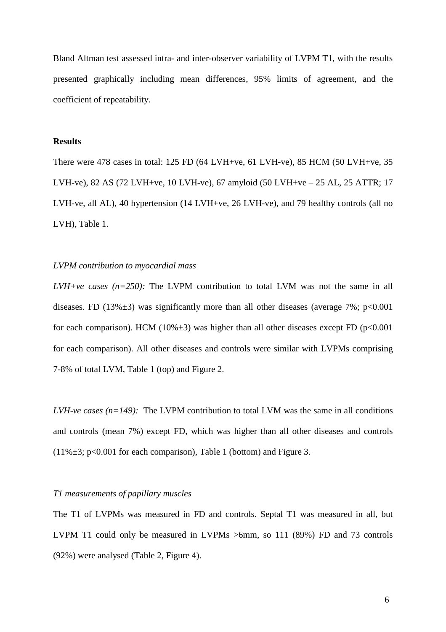Bland Altman test assessed intra- and inter-observer variability of LVPM T1, with the results presented graphically including mean differences, 95% limits of agreement, and the coefficient of repeatability.

#### **Results**

There were 478 cases in total: 125 FD (64 LVH+ve, 61 LVH-ve), 85 HCM (50 LVH+ve, 35 LVH-ve), 82 AS (72 LVH+ve, 10 LVH-ve), 67 amyloid (50 LVH+ve – 25 AL, 25 ATTR; 17 LVH-ve, all AL), 40 hypertension (14 LVH+ve, 26 LVH-ve), and 79 healthy controls (all no LVH), Table 1.

#### *LVPM contribution to myocardial mass*

*LVH+ve cases (n=250):* The LVPM contribution to total LVM was not the same in all diseases. FD (13% $\pm$ 3) was significantly more than all other diseases (average 7%; p<0.001 for each comparison). HCM (10% $\pm$ 3) was higher than all other diseases except FD (p<0.001 for each comparison). All other diseases and controls were similar with LVPMs comprising 7-8% of total LVM, Table 1 (top) and Figure 2.

*LVH-ve cases (n=149):* The LVPM contribution to total LVM was the same in all conditions and controls (mean 7%) except FD, which was higher than all other diseases and controls  $(11\% \pm 3; p<0.001$  for each comparison), Table 1 (bottom) and Figure 3.

#### *T1 measurements of papillary muscles*

The T1 of LVPMs was measured in FD and controls. Septal T1 was measured in all, but LVPM T1 could only be measured in LVPMs >6mm, so 111 (89%) FD and 73 controls (92%) were analysed (Table 2, Figure 4).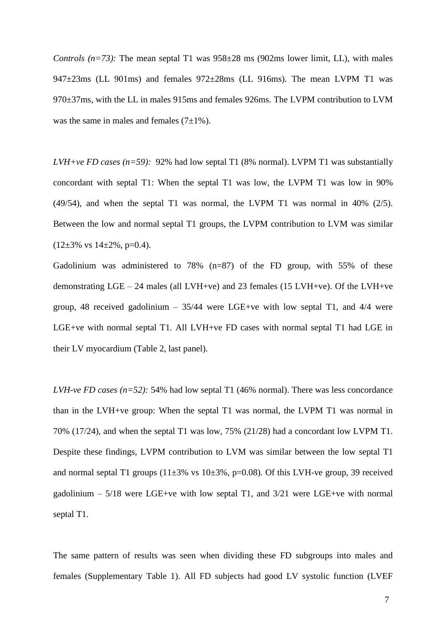*Controls* ( $n=73$ ): The mean septal T1 was  $958\pm28$  ms ( $902$ ms lower limit, LL), with males 947±23ms (LL 901ms) and females 972±28ms (LL 916ms). The mean LVPM T1 was 970±37ms, with the LL in males 915ms and females 926ms. The LVPM contribution to LVM was the same in males and females  $(7\pm1\%)$ .

*LVH+ve FD cases (n=59):* 92% had low septal T1 (8% normal). LVPM T1 was substantially concordant with septal T1: When the septal T1 was low, the LVPM T1 was low in 90% (49/54), and when the septal T1 was normal, the LVPM T1 was normal in 40% (2/5). Between the low and normal septal T1 groups, the LVPM contribution to LVM was similar  $(12\pm3\% \text{ vs } 14\pm2\%, \text{ p=0.4}).$ 

Gadolinium was administered to 78% (n=87) of the FD group, with 55% of these demonstrating  $LGE - 24$  males (all LVH+ve) and 23 females (15 LVH+ve). Of the LVH+ve group, 48 received gadolinium  $-35/44$  were LGE+ve with low septal T1, and  $4/4$  were LGE+ve with normal septal T1. All LVH+ve FD cases with normal septal T1 had LGE in their LV myocardium (Table 2, last panel).

*LVH-ve FD cases (n=52):* 54% had low septal T1 (46% normal). There was less concordance than in the LVH+ve group: When the septal T1 was normal, the LVPM T1 was normal in 70% (17/24), and when the septal T1 was low, 75% (21/28) had a concordant low LVPM T1. Despite these findings, LVPM contribution to LVM was similar between the low septal T1 and normal septal T1 groups  $(11\pm3\% \text{ vs } 10\pm3\%, \text{p=0.08})$ . Of this LVH-ve group, 39 received gadolinium –  $5/18$  were LGE+ve with low septal T1, and  $3/21$  were LGE+ve with normal septal T1.

The same pattern of results was seen when dividing these FD subgroups into males and females (Supplementary Table 1). All FD subjects had good LV systolic function (LVEF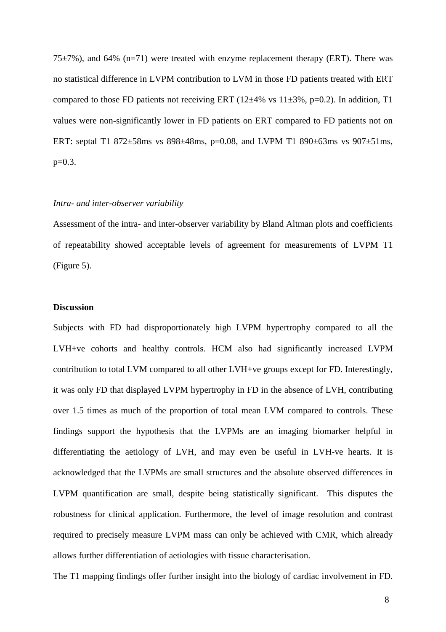$75\pm7\%$ ), and 64% (n=71) were treated with enzyme replacement therapy (ERT). There was no statistical difference in LVPM contribution to LVM in those FD patients treated with ERT compared to those FD patients not receiving ERT ( $12\pm4\%$  vs  $11\pm3\%$ , p=0.2). In addition, T1 values were non-significantly lower in FD patients on ERT compared to FD patients not on ERT: septal T1 872±58ms vs 898±48ms, p=0.08, and LVPM T1 890±63ms vs 907±51ms,  $p=0.3$ .

#### *Intra- and inter-observer variability*

Assessment of the intra- and inter-observer variability by Bland Altman plots and coefficients of repeatability showed acceptable levels of agreement for measurements of LVPM T1 (Figure 5).

#### **Discussion**

Subjects with FD had disproportionately high LVPM hypertrophy compared to all the LVH+ve cohorts and healthy controls. HCM also had significantly increased LVPM contribution to total LVM compared to all other LVH+ve groups except for FD. Interestingly, it was only FD that displayed LVPM hypertrophy in FD in the absence of LVH, contributing over 1.5 times as much of the proportion of total mean LVM compared to controls. These findings support the hypothesis that the LVPMs are an imaging biomarker helpful in differentiating the aetiology of LVH, and may even be useful in LVH-ve hearts. It is acknowledged that the LVPMs are small structures and the absolute observed differences in LVPM quantification are small, despite being statistically significant. This disputes the robustness for clinical application. Furthermore, the level of image resolution and contrast required to precisely measure LVPM mass can only be achieved with CMR, which already allows further differentiation of aetiologies with tissue characterisation.

The T1 mapping findings offer further insight into the biology of cardiac involvement in FD.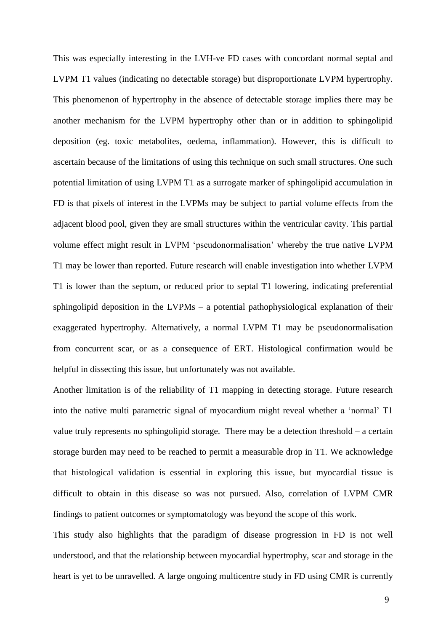This was especially interesting in the LVH-ve FD cases with concordant normal septal and LVPM T1 values (indicating no detectable storage) but disproportionate LVPM hypertrophy. This phenomenon of hypertrophy in the absence of detectable storage implies there may be another mechanism for the LVPM hypertrophy other than or in addition to sphingolipid deposition (eg. toxic metabolites, oedema, inflammation). However, this is difficult to ascertain because of the limitations of using this technique on such small structures. One such potential limitation of using LVPM T1 as a surrogate marker of sphingolipid accumulation in FD is that pixels of interest in the LVPMs may be subject to partial volume effects from the adjacent blood pool, given they are small structures within the ventricular cavity. This partial volume effect might result in LVPM 'pseudonormalisation' whereby the true native LVPM T1 may be lower than reported. Future research will enable investigation into whether LVPM T1 is lower than the septum, or reduced prior to septal T1 lowering, indicating preferential sphingolipid deposition in the LVPMs – a potential pathophysiological explanation of their exaggerated hypertrophy. Alternatively, a normal LVPM T1 may be pseudonormalisation from concurrent scar, or as a consequence of ERT. Histological confirmation would be helpful in dissecting this issue, but unfortunately was not available.

Another limitation is of the reliability of T1 mapping in detecting storage. Future research into the native multi parametric signal of myocardium might reveal whether a 'normal' T1 value truly represents no sphingolipid storage. There may be a detection threshold – a certain storage burden may need to be reached to permit a measurable drop in T1. We acknowledge that histological validation is essential in exploring this issue, but myocardial tissue is difficult to obtain in this disease so was not pursued. Also, correlation of LVPM CMR findings to patient outcomes or symptomatology was beyond the scope of this work.

This study also highlights that the paradigm of disease progression in FD is not well understood, and that the relationship between myocardial hypertrophy, scar and storage in the heart is yet to be unravelled. A large ongoing multicentre study in FD using CMR is currently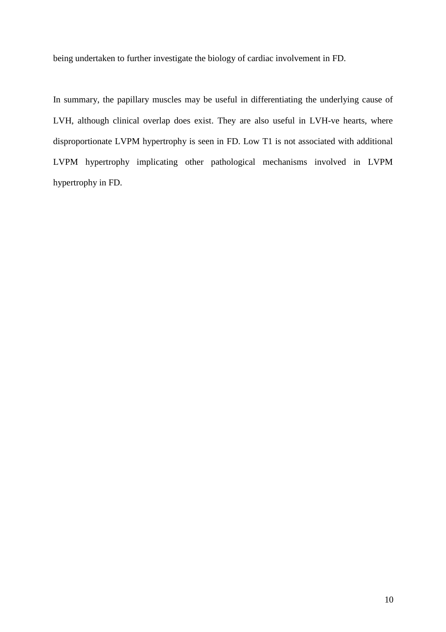being undertaken to further investigate the biology of cardiac involvement in FD.

In summary, the papillary muscles may be useful in differentiating the underlying cause of LVH, although clinical overlap does exist. They are also useful in LVH-ve hearts, where disproportionate LVPM hypertrophy is seen in FD. Low T1 is not associated with additional LVPM hypertrophy implicating other pathological mechanisms involved in LVPM hypertrophy in FD.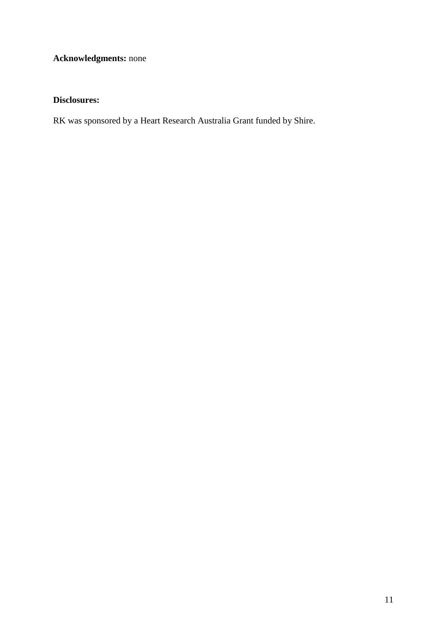# **Acknowledgments:** none

## **Disclosures:**

RK was sponsored by a Heart Research Australia Grant funded by Shire.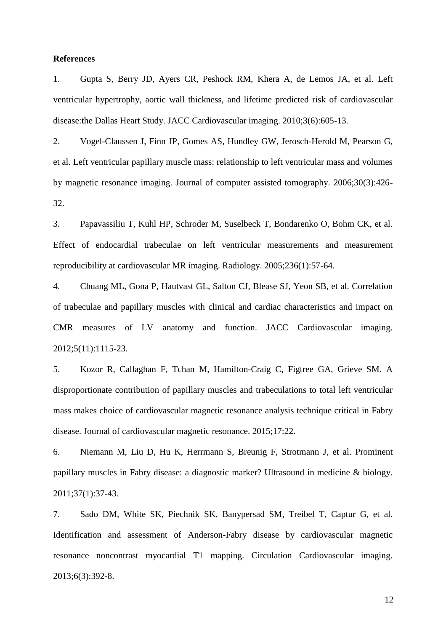#### **References**

1. Gupta S, Berry JD, Ayers CR, Peshock RM, Khera A, de Lemos JA, et al. Left ventricular hypertrophy, aortic wall thickness, and lifetime predicted risk of cardiovascular disease:the Dallas Heart Study. JACC Cardiovascular imaging. 2010;3(6):605-13.

2. Vogel-Claussen J, Finn JP, Gomes AS, Hundley GW, Jerosch-Herold M, Pearson G, et al. Left ventricular papillary muscle mass: relationship to left ventricular mass and volumes by magnetic resonance imaging. Journal of computer assisted tomography. 2006;30(3):426- 32.

3. Papavassiliu T, Kuhl HP, Schroder M, Suselbeck T, Bondarenko O, Bohm CK, et al. Effect of endocardial trabeculae on left ventricular measurements and measurement reproducibility at cardiovascular MR imaging. Radiology. 2005;236(1):57-64.

4. Chuang ML, Gona P, Hautvast GL, Salton CJ, Blease SJ, Yeon SB, et al. Correlation of trabeculae and papillary muscles with clinical and cardiac characteristics and impact on CMR measures of LV anatomy and function. JACC Cardiovascular imaging. 2012;5(11):1115-23.

5. Kozor R, Callaghan F, Tchan M, Hamilton-Craig C, Figtree GA, Grieve SM. A disproportionate contribution of papillary muscles and trabeculations to total left ventricular mass makes choice of cardiovascular magnetic resonance analysis technique critical in Fabry disease. Journal of cardiovascular magnetic resonance. 2015;17:22.

6. Niemann M, Liu D, Hu K, Herrmann S, Breunig F, Strotmann J, et al. Prominent papillary muscles in Fabry disease: a diagnostic marker? Ultrasound in medicine & biology. 2011;37(1):37-43.

7. Sado DM, White SK, Piechnik SK, Banypersad SM, Treibel T, Captur G, et al. Identification and assessment of Anderson-Fabry disease by cardiovascular magnetic resonance noncontrast myocardial T1 mapping. Circulation Cardiovascular imaging. 2013;6(3):392-8.

12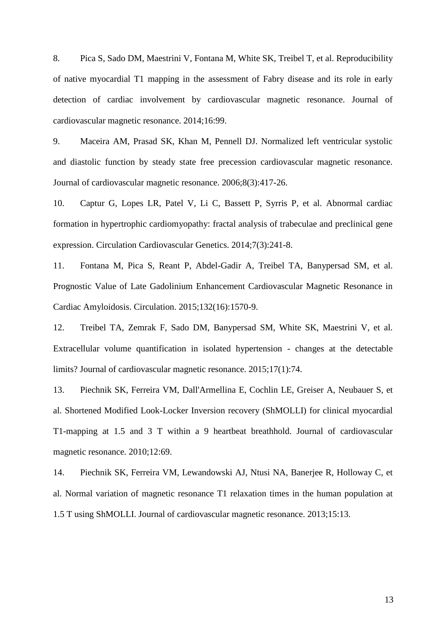8. Pica S, Sado DM, Maestrini V, Fontana M, White SK, Treibel T, et al. Reproducibility of native myocardial T1 mapping in the assessment of Fabry disease and its role in early detection of cardiac involvement by cardiovascular magnetic resonance. Journal of cardiovascular magnetic resonance. 2014;16:99.

9. Maceira AM, Prasad SK, Khan M, Pennell DJ. Normalized left ventricular systolic and diastolic function by steady state free precession cardiovascular magnetic resonance. Journal of cardiovascular magnetic resonance. 2006;8(3):417-26.

10. Captur G, Lopes LR, Patel V, Li C, Bassett P, Syrris P, et al. Abnormal cardiac formation in hypertrophic cardiomyopathy: fractal analysis of trabeculae and preclinical gene expression. Circulation Cardiovascular Genetics. 2014;7(3):241-8.

11. Fontana M, Pica S, Reant P, Abdel-Gadir A, Treibel TA, Banypersad SM, et al. Prognostic Value of Late Gadolinium Enhancement Cardiovascular Magnetic Resonance in Cardiac Amyloidosis. Circulation. 2015;132(16):1570-9.

12. Treibel TA, Zemrak F, Sado DM, Banypersad SM, White SK, Maestrini V, et al. Extracellular volume quantification in isolated hypertension - changes at the detectable limits? Journal of cardiovascular magnetic resonance. 2015;17(1):74.

13. Piechnik SK, Ferreira VM, Dall'Armellina E, Cochlin LE, Greiser A, Neubauer S, et al. Shortened Modified Look-Locker Inversion recovery (ShMOLLI) for clinical myocardial T1-mapping at 1.5 and 3 T within a 9 heartbeat breathhold. Journal of cardiovascular magnetic resonance. 2010;12:69.

14. Piechnik SK, Ferreira VM, Lewandowski AJ, Ntusi NA, Banerjee R, Holloway C, et al. Normal variation of magnetic resonance T1 relaxation times in the human population at 1.5 T using ShMOLLI. Journal of cardiovascular magnetic resonance. 2013;15:13.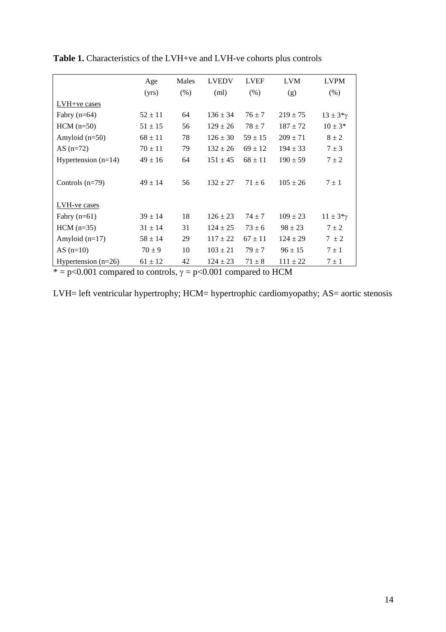|                       | Age         | Males | <b>LVEDV</b> | <b>LVEF</b> | <b>LVM</b>   | <b>LVPM</b>       |
|-----------------------|-------------|-------|--------------|-------------|--------------|-------------------|
|                       | (yrs)       | (% )  | (ml)         | (% )        | (g)          | $(\% )$           |
| LVH+ve cases          |             |       |              |             |              |                   |
| Fabry $(n=64)$        | $52 \pm 11$ | 64    | $136 \pm 34$ | $76 \pm 7$  | $219 \pm 75$ | $13 \pm 3*\gamma$ |
| $HCM$ (n=50)          | $51 \pm 15$ | 56    | $129 \pm 26$ | $78 \pm 7$  | $187 \pm 72$ | $10 \pm 3*$       |
| Amyloid $(n=50)$      | $68 \pm 11$ | 78    | $126 \pm 30$ | $59 \pm 15$ | $209 \pm 71$ | $8 \pm 2$         |
| AS $(n=72)$           | $70 \pm 11$ | 79    | $132 \pm 26$ | $69 \pm 12$ | $194 \pm 33$ | $7 \pm 3$         |
| Hypertension $(n=14)$ | $49 \pm 16$ | 64    | $151 \pm 45$ | $68 \pm 11$ | $190 \pm 59$ | $7 \pm 2$         |
|                       |             |       |              |             |              |                   |
| Controls $(n=79)$     | $49 \pm 14$ | 56    | $132 \pm 27$ | $71 \pm 6$  | $105 \pm 26$ | $7 \pm 1$         |
|                       |             |       |              |             |              |                   |
| <b>LVH-ve cases</b>   |             |       |              |             |              |                   |
| Fabry $(n=61)$        | $39 \pm 14$ | 18    | $126 \pm 23$ | $74 \pm 7$  | $109 \pm 23$ | $11 \pm 3*\gamma$ |
| $HCM$ (n=35)          | $31 \pm 14$ | 31    | $124 \pm 25$ | $73 \pm 6$  | $98 \pm 23$  | $7 \pm 2$         |
| Amyloid $(n=17)$      | $58 \pm 14$ | 29    | $117 \pm 22$ | $67 \pm 11$ | $124 \pm 29$ | $7 \pm 2$         |
| AS $(n=10)$           | $70 \pm 9$  | 10    | $103 \pm 21$ | $79 \pm 7$  | $96 \pm 15$  | $7 \pm 1$         |
| Hypertension $(n=26)$ | $61 \pm 12$ | 42    | $124 \pm 23$ | $71 \pm 8$  | $111 \pm 22$ | $7 \pm 1$         |

**Table 1.** Characteristics of the LVH+ve and LVH-ve cohorts plus controls

 $* = p<0.001$  compared to controls,  $\gamma = p<0.001$  compared to HCM

LVH= left ventricular hypertrophy; HCM= hypertrophic cardiomyopathy; AS= aortic stenosis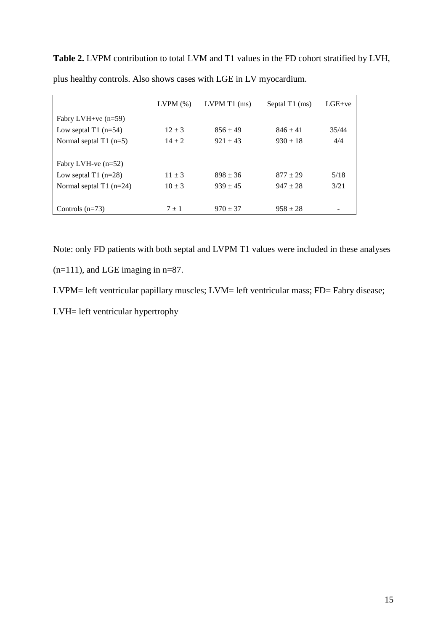**Table 2.** LVPM contribution to total LVM and T1 values in the FD cohort stratified by LVH, plus healthy controls. Also shows cases with LGE in LV myocardium.

|                           | LVPM(%)    | $LVPM T1$ (ms) | Septal T1 (ms) | $LGE+ve$ |
|---------------------------|------------|----------------|----------------|----------|
| Fabry LVH+ve $(n=59)$     |            |                |                |          |
| Low septal $T1$ (n=54)    | $12 \pm 3$ | $856 \pm 49$   | $846 \pm 41$   | 35/44    |
| Normal septal $T1$ (n=5)  | $14 + 2$   | $921 \pm 43$   | $930 \pm 18$   | 4/4      |
|                           |            |                |                |          |
| Fabry LVH-ve $(n=52)$     |            |                |                |          |
| Low septal $T1$ (n=28)    | $11 \pm 3$ | $898 \pm 36$   | $877 + 29$     | 5/18     |
| Normal septal $T1$ (n=24) | $10 \pm 3$ | $939 \pm 45$   | $947 \pm 28$   | 3/21     |
|                           |            |                |                |          |
| Controls $(n=73)$         | $7 \pm 1$  | $970 \pm 37$   | $958 \pm 28$   |          |

Note: only FD patients with both septal and LVPM T1 values were included in these analyses

(n=111), and LGE imaging in n=87.

LVPM= left ventricular papillary muscles; LVM= left ventricular mass; FD= Fabry disease;

LVH= left ventricular hypertrophy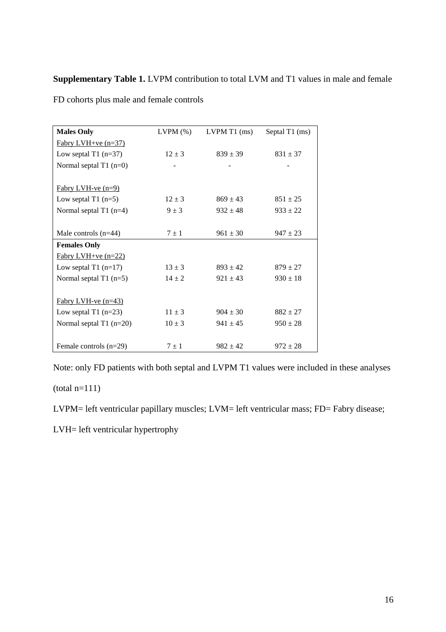## **Supplementary Table 1.** LVPM contribution to total LVM and T1 values in male and female

| <b>Males Only</b>         | $LVPM$ $(\%)$            | $LVPM T1$ (ms) | Septal T1 (ms) |
|---------------------------|--------------------------|----------------|----------------|
| $Fabry LVH+ve (n=37)$     |                          |                |                |
| Low septal T1 $(n=37)$    | $12 \pm 3$               | $839 \pm 39$   | $831 \pm 37$   |
| Normal septal $T1$ (n=0)  | $\overline{\phantom{0}}$ |                |                |
|                           |                          |                |                |
| Fabry LVH-ve $(n=9)$      |                          |                |                |
| Low septal $T1$ (n=5)     | $12 \pm 3$               | $869 \pm 43$   | $851 \pm 25$   |
| Normal septal $T1$ (n=4)  | $9 \pm 3$                | $932 \pm 48$   | $933 \pm 22$   |
|                           |                          |                |                |
| Male controls $(n=44)$    | $7 \pm 1$                | $961 \pm 30$   | $947 \pm 23$   |
| <b>Females Only</b>       |                          |                |                |
| $Fabry LVH+ve (n=22)$     |                          |                |                |
| Low septal $T1$ (n=17)    | $13 \pm 3$               | $893 \pm 42$   | $879 \pm 27$   |
| Normal septal $T1$ (n=5)  |                          |                |                |
|                           | $14 \pm 2$               | $921 \pm 43$   | $930 \pm 18$   |
|                           |                          |                |                |
| Fabry LVH-ve $(n=43)$     |                          |                |                |
| Low septal $T1$ (n=23)    | $11 \pm 3$               | $904 \pm 30$   | $882 \pm 27$   |
| Normal septal $T1$ (n=20) | $10 \pm 3$               | $941 \pm 45$   | $950 \pm 28$   |
|                           |                          |                |                |

FD cohorts plus male and female controls

Note: only FD patients with both septal and LVPM T1 values were included in these analyses

(total n=111)

LVPM= left ventricular papillary muscles; LVM= left ventricular mass; FD= Fabry disease;

LVH= left ventricular hypertrophy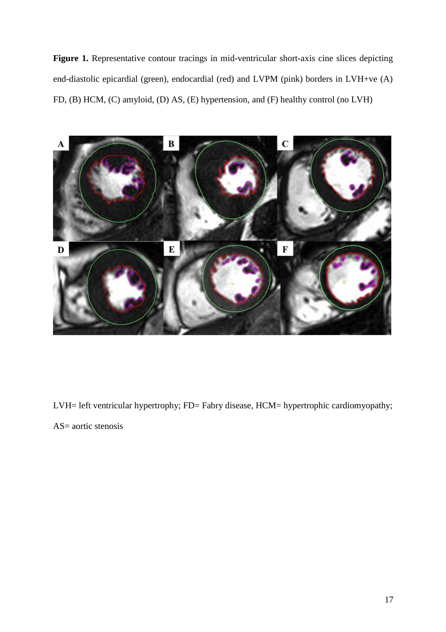Figure 1. Representative contour tracings in mid-ventricular short-axis cine slices depicting end-diastolic epicardial (green), endocardial (red) and LVPM (pink) borders in LVH+ve (A) FD, (B) HCM, (C) amyloid, (D) AS, (E) hypertension, and (F) healthy control (no LVH)



LVH= left ventricular hypertrophy; FD= Fabry disease, HCM= hypertrophic cardiomyopathy; AS= aortic stenosis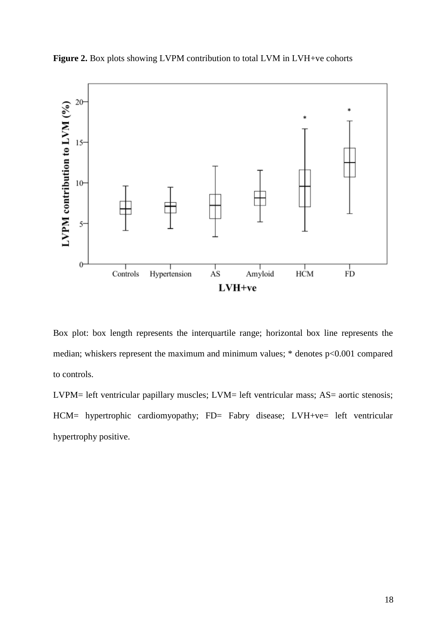



Box plot: box length represents the interquartile range; horizontal box line represents the median; whiskers represent the maximum and minimum values; \* denotes p<0.001 compared to controls.

LVPM= left ventricular papillary muscles; LVM= left ventricular mass; AS= aortic stenosis; HCM= hypertrophic cardiomyopathy; FD= Fabry disease; LVH+ve= left ventricular hypertrophy positive.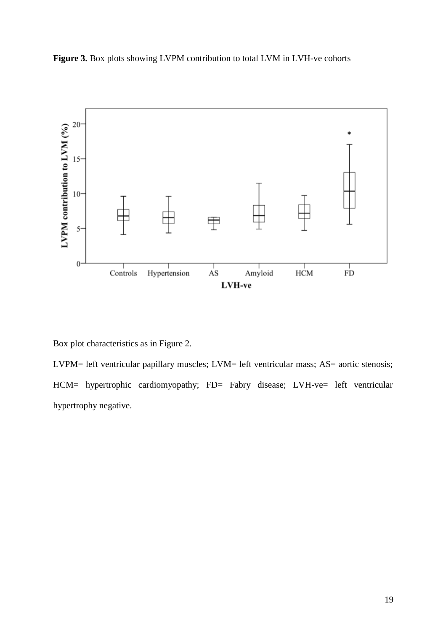



Box plot characteristics as in Figure 2.

LVPM= left ventricular papillary muscles; LVM= left ventricular mass; AS= aortic stenosis; HCM= hypertrophic cardiomyopathy; FD= Fabry disease; LVH-ve= left ventricular hypertrophy negative.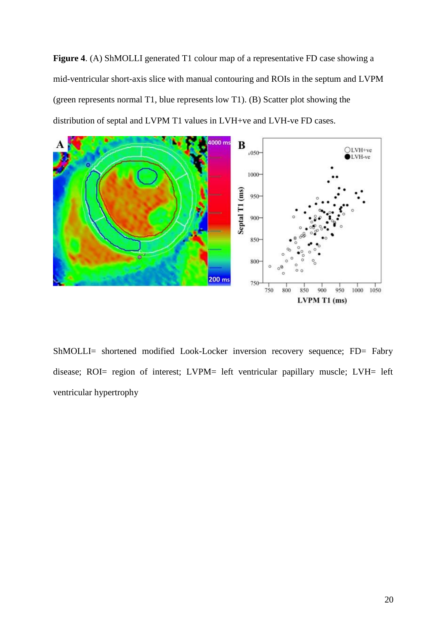**Figure 4**. (A) ShMOLLI generated T1 colour map of a representative FD case showing a mid-ventricular short-axis slice with manual contouring and ROIs in the septum and LVPM (green represents normal T1, blue represents low T1). (B) Scatter plot showing the distribution of septal and LVPM T1 values in LVH+ve and LVH-ve FD cases.



ShMOLLI= shortened modified Look-Locker inversion recovery sequence; FD= Fabry disease; ROI= region of interest; LVPM= left ventricular papillary muscle; LVH= left ventricular hypertrophy